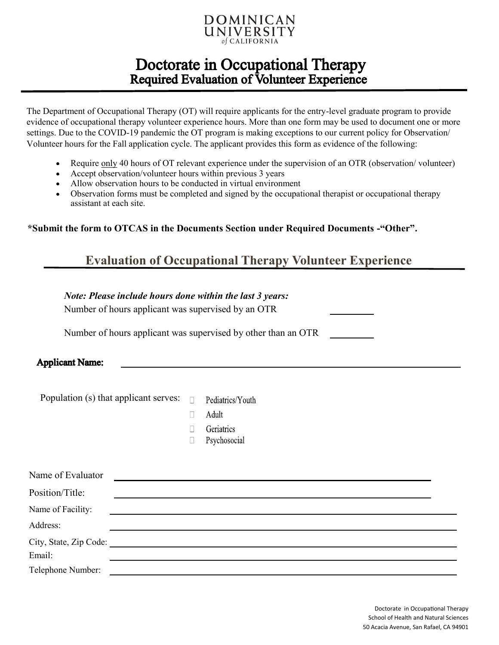

## Doctorate in Occupational Therapy Required Evaluation of Volunteer Experience

The Department of Occupational Therapy (OT) will require applicants for the entry-level graduate program to provide evidence of occupational therapy volunteer experience hours. More than one form may be used to document one or more settings. Due to the COVID-19 pandemic the OT program is making exceptions to our current policy for Observation/ Volunteer hours for the Fall application cycle. The applicant provides this form as evidence of the following:

- Require only 40 hours of OT relevant experience under the supervision of an OTR (observation/ volunteer)
- Accept observation/volunteer hours within previous 3 years
- Allow observation hours to be conducted in virtual environment
- Observation forms must be completed and signed by the occupational therapist or occupational therapy assistant at each site.

**\*Submit the form to OTCAS in the Documents Section under Required Documents -"Other".**

### **Evaluation of Occupational Therapy Volunteer Experience**

#### *Note: Please include hours done within the last 3 years:*

Number of hours applicant was supervised by an OTR

Number of hours applicant was supervised by other than an OTR

#### **Applicant Name:**

Population (s) that applicant serves:  $\Box$ Pediatrics/Youth

- $\Box$ Adult
- $\Box$ Geriatrics
- Psychosocial  $\Box$

| Name of Evaluator |  |
|-------------------|--|
| Position/Title:   |  |
| Name of Facility: |  |
| Address:          |  |
|                   |  |
| Email:            |  |
| Telephone Number: |  |